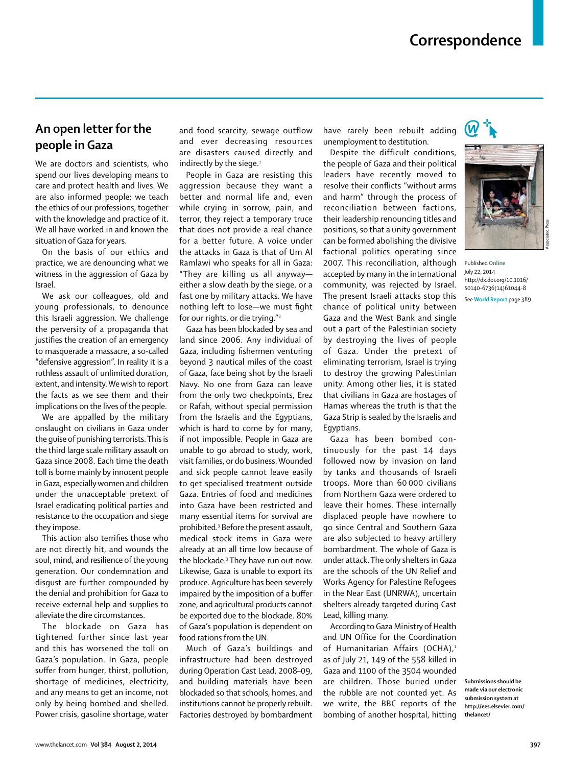## **An open letter for the people in Gaza**

We are doctors and scientists, who spend our lives developing means to care and protect health and lives. We are also informed people; we teach the ethics of our professions, together with the knowledge and practice of it. We all have worked in and known the situation of Gaza for years.

On the basis of our ethics and practice, we are denouncing what we witness in the aggression of Gaza by Israel.

We ask our colleagues, old and young professionals, to denounce this Israeli aggression. We challenge the perversity of a propaganda that justifies the creation of an emergency to masquerade a massacre, a so-called "defensive aggression". In reality it is a ruthless assault of unlimited duration, extent, and intensity. We wish to report the facts as we see them and their implications on the lives of the people.

We are appalled by the military onslaught on civilians in Gaza under the guise of punishing terrorists. This is the third large scale military assault on Gaza since 2008. Each time the death toll is borne mainly by innocent people in Gaza, especially women and children under the unacceptable pretext of Israel eradicating political parties and resistance to the occupation and siege they impose.

This action also terrifies those who are not directly hit, and wounds the soul, mind, and resilience of the young generation. Our condemnation and disgust are further compounded by the denial and prohibition for Gaza to receive external help and supplies to alleviate the dire circumstances.

The blockade on Gaza has tightened further since last year and this has worsened the toll on Gaza's population. In Gaza, people suffer from hunger, thirst, pollution, shortage of medicines, electricity, and any means to get an income, not only by being bombed and shelled. Power crisis, gasoline shortage, water and food scarcity, sewage outflow and ever decreasing resources are disasters caused directly and indirectly by the siege. $1$ 

People in Gaza are resisting this aggression because they want a better and normal life and, even while crying in sorrow, pain, and terror, they reject a temporary truce that does not provide a real chance for a better future. A voice under the attacks in Gaza is that of Um Al Ramlawi who speaks for all in Gaza: "They are killing us all anyway either a slow death by the siege, or a fast one by military attacks. We have nothing left to lose-we must fight for our rights, or die trying."2

Gaza has been blockaded by sea and land since 2006. Any individual of Gaza, including fishermen venturing beyond 3 nautical miles of the coast of Gaza, face being shot by the Israeli Navy. No one from Gaza can leave from the only two checkpoints, Erez or Rafah, without special permission from the Israelis and the Egyptians, which is hard to come by for many, if not impossible. People in Gaza are unable to go abroad to study, work, visit families, or do business. Wounded and sick people cannot leave easily to get specialised treatment outside Gaza. Entries of food and medicines into Gaza have been restricted and many essential items for survival are prohibited.3 Before the present assault, medical stock items in Gaza were already at an all time low because of the blockade.3 They have run out now. Likewise, Gaza is unable to export its produce. Agriculture has been severely impaired by the imposition of a buffer zone, and agricultural products cannot be exported due to the blockade. 80% of Gaza's population is dependent on food rations from the UN.

Much of Gaza's buildings and infrastructure had been destroyed during Operation Cast Lead, 2008–09, and building materials have been blockaded so that schools, homes, and institutions cannot be properly rebuilt. Factories destroyed by bombardment have rarely been rebuilt adding unemployment to destitution.

Despite the difficult conditions, the people of Gaza and their political leaders have recently moved to resolve their conflicts "without arms and harm" through the process of reconciliation between factions, their leadership renouncing titles and positions, so that a unity government can be formed abolishing the divisive factional politics operating since 2007. This reconciliation, although accepted by many in the international community, was rejected by Israel. The present Israeli attacks stop this chance of political unity between Gaza and the West Bank and single out a part of the Palestinian society by destroying the lives of people of Gaza. Under the pretext of eliminating terrorism, Israel is trying to destroy the growing Palestinian unity. Among other lies, it is stated that civilians in Gaza are hostages of Hamas whereas the truth is that the Gaza Strip is sealed by the Israelis and Egyptians.

Gaza has been bombed continuously for the past 14 days followed now by invasion on land by tanks and thousands of Israeli troops. More than 60 000 civilians from Northern Gaza were ordered to leave their homes. These internally displaced people have nowhere to go since Central and Southern Gaza are also subjected to heavy artillery bombardment. The whole of Gaza is under attack. The only shelters in Gaza are the schools of the UN Relief and Works Agency for Palestine Refugees in the Near East (UNRWA), uncertain shelters already targeted during Cast Lead, killing many.

According to Gaza Ministry of Health and UN Office for the Coordination of Humanitarian Affairs (OCHA),<sup>1</sup> as of July 21, 149 of the 558 killed in Gaza and 1100 of the 3504 wounded are children. Those buried under the rubble are not counted yet. As we write, the BBC reports of the bombing of another hospital, hitting





Published **Online** July 22, 2014 http://dx.doi.org/10.1016/ S0140-6736(14)61044-8 See **World Report** page 389

**Submissions should be made via our electronic submission system at http://ees.elsevier.com/ thelancet/**